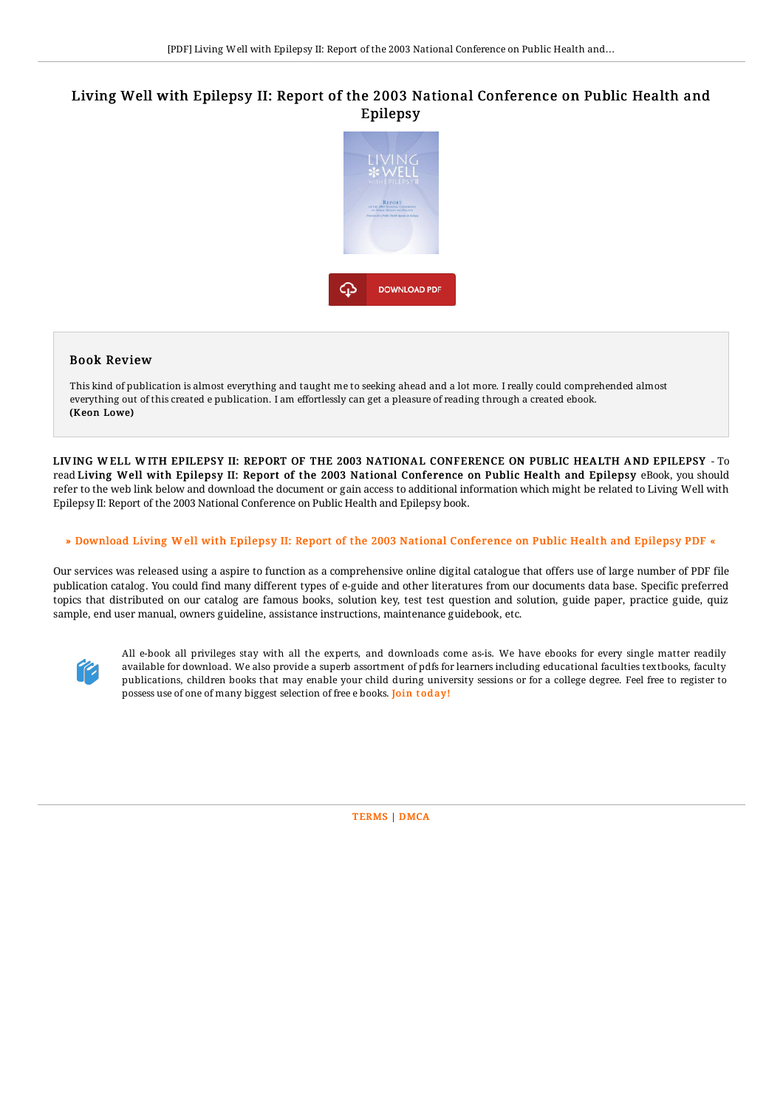## Living Well with Epilepsy II: Report of the 2003 National Conference on Public Health and Epilepsy



## Book Review

This kind of publication is almost everything and taught me to seeking ahead and a lot more. I really could comprehended almost everything out of this created e publication. I am effortlessly can get a pleasure of reading through a created ebook. (Keon Lowe)

LIV ING W ELL W ITH EPILEPSY II: REPORT OF THE 2003 NATIONAL CONFERENCE ON PUBLIC HEALTH AND EPILEPSY - To read Living Well with Epilepsy II: Report of the 2003 National Conference on Public Health and Epilepsy eBook, you should refer to the web link below and download the document or gain access to additional information which might be related to Living Well with Epilepsy II: Report of the 2003 National Conference on Public Health and Epilepsy book.

## » Download Living W ell with Epilepsy II: Report of the 2003 National [Conference](http://www.bookdirs.com/living-well-with-epilepsy-ii-report-of-the-2003-.html) on Public Health and Epilepsy PDF «

Our services was released using a aspire to function as a comprehensive online digital catalogue that offers use of large number of PDF file publication catalog. You could find many different types of e-guide and other literatures from our documents data base. Specific preferred topics that distributed on our catalog are famous books, solution key, test test question and solution, guide paper, practice guide, quiz sample, end user manual, owners guideline, assistance instructions, maintenance guidebook, etc.



All e-book all privileges stay with all the experts, and downloads come as-is. We have ebooks for every single matter readily available for download. We also provide a superb assortment of pdfs for learners including educational faculties textbooks, faculty publications, children books that may enable your child during university sessions or for a college degree. Feel free to register to possess use of one of many biggest selection of free e books. Join t[oday!](http://www.bookdirs.com/living-well-with-epilepsy-ii-report-of-the-2003-.html)